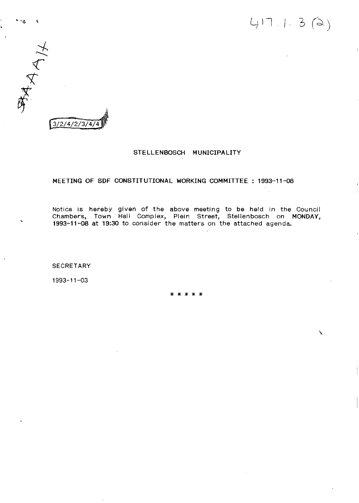

 $\mathbf{v} \rightarrow \mathbf{a}$ 

## STELLENBOSCH MUNICIPALITY

### MEETING OF SDF CONSTITUTIONAL WORKING COMMITTEE : 1993-11-08

Notice is hereby given of the above meeting to be held in the Council Chambers, Town Hall Complex, Plein Street, Stellenbosch on MONDAY, 1993-11-08 at 19:30 to consider the matters on the attached agenda.

**SECRETARY** 

1993-11-03

\* \* \* \* \*

\.

 $417.1.3 (2)$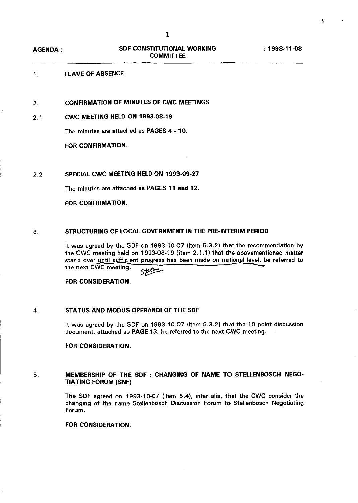$\ddot{\phantom{1}}$ 

: 1993-11-08

## 1. LEAVE OF ABSENCE

2. CONFIRMATION OF MINUTES OF CWC MEETINGS

## 2.1 CWC MEETING HELD ON 1993-08-19

The minutes are attached as PAGES 4 - 10.

FOR CONFIRMATION.

## 2.2 SPECIAL CWC MEETING HELD ON 1993-09-27

The minutes are attached as PAGES 11 and 12.

## FOR CONFIRMATION.

### 3. STRUCTURING OF LOCAL GOVERNMENT IN THE PRE-INTERIM PERIOD

It was agreed by the SDF on 1993-10-07 (item 5.3.2) that the recommendation by the CWC meeting held on 1993-08-19 (item 2.1.1) that the abovementioned matter stand over until sufficient progress has been made on national level, be referred to<br>the next CWC meeting.  $\frac{1}{5}$ 

FOR CONSIDERATION.

## 4. STATUS AND MODUS OPERANDI OF THE SDF

It was agreed by the SDF on 1993-10-07 (item 5.3.2) that the 10 point discussion document, attached as PAGE 13, be referred to the next CWC meeting.

#### FOR CONSIDERATION.

## 5. MEMBERSHIP OF THE SDF : CHANGING OF NAME TO STELLENBOSCH NEGO-TIATING FORUM (SNF)

The SDF agreed on 1993-10-07 (item 5.4), inter alia, that the CWC consider the changing of the name Stellenbosch Discussion Forum to Stellenbosch Negotiating Forum.

## FOR CONSIDERATION.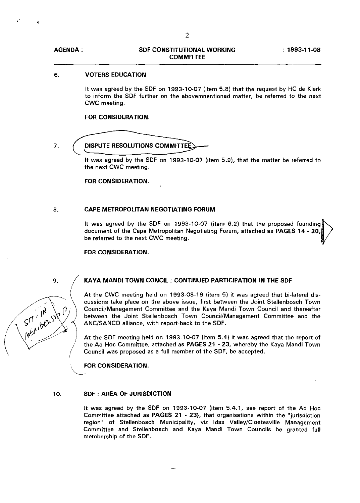## 6. **VOTERS EDUCATION**

It was agreed by the SDF on 1993-10-07 (item 5.8) that the request by HC de Klerk to inform the SDF further on the abovemnentioned matter, be referred to the next **CWC** meeting.

## **FOR CONSIDERATION.**

7.

#### **DISPUTE RESOLUTIONS COMMITTEE**

It was agreed by the SDF on 1993-10-07 (item 5.9), that the matter be referred to the next CWC meeting.

**FOR CONSIDERATION.**

## 8. **CAPE METROPOLITAN NEGOTIATING FORUM**

It was agreed by the SDF on 1993-10-07 (item 6.2) that the proposed founding document of the Cape Metropolitan Negotiating Forum, attached as **PAGES 14** - 20, be referred to the next CWC meeting.

## **FOR CONSIDERATION.**

9. **KAVA MANDl TOWN CONCll: CONTINUED PARTICIPATION IN THE** SDF

At the CWC meeting held on 1993-08-19 (item 5) it was agreed that bi-Iateral discussions take place on the above issue, first between the Joint Stellenbosch Town Council/Management Committee and the Kaya Mandi Town Council and thereafter between the Joint Stellenbosch Town Council/Management Committee and the ANC/SANCO alliance, with report-back to the SDF.

At the SDF meeting held on 1993-10-07 (item 5.4) it was agreed that the report of the Ad Hoc Committee, attached as **PAGES 21** - 23, whereby the Kaya Mandi Town Council was proposed as a full member of the SDF, be accepted.

~OR **CONSIDERATION.**

## 10. **SDF : AREA OF JURISDICTION**

It was agreed by the SDF on 1993-10-07 (item 5.4.1, see report of the Ad Hoc Committee attached as **PAGES 21** - 23), that organisations within the "jurisdiction region" of Stellenbosch Municipality, viz Idas Valley/Cloetesville Management Committee and Stellenbosch and Kaya Mandi Town Councils be granted full membership of the SDF.

ment of the control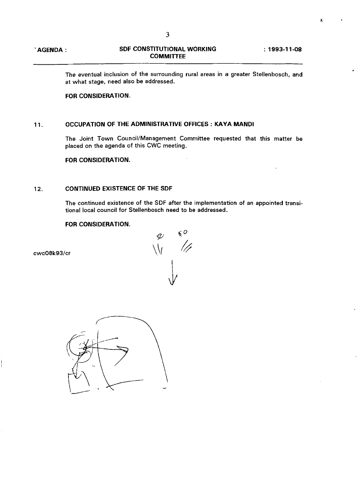: **1993-11-08**

e.

The eventual inclusion of the surrounding rural areas in a greater Stellenbosch, and at what stage, need also be addressed.

## **FOR CONSIDERATION.**

## 11. **OCCUPATION OF THE ADMINISTRATIVE OFFICES: KAVA MANDl**

The Joint Town Council/Management Committee requested that this matter be placed on the agenda of this CWC meeting.

**FOR CONSIDERATION.**

## 12. **CONTINUED EXISTENCE OF THE SDF**

The continued existence of the SDF after the implementation of an appointed transitional local council for Stellenbosch need to be addressed.

## **FOR CONSIDERATION.**



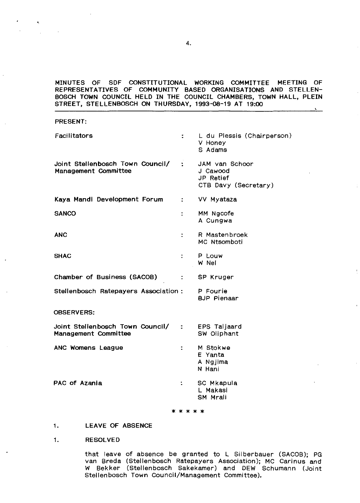## MINUTES OF SDF CONSTITUTIONAL WORKING COMMITTEE MEETING OF REPRESENTATIVES OF COMMUNITY BASED ORGANISATIONS AND STELLEN-BOSCH TOWN COUNCIL HELD IN THE COUNCIL CHAMBERS, TOWN HALL, PLEIN STREET, STELLENBOSCH ON THURSDAY, 1993-08-19 AT 19:00

| <b>FILL</b>                                                |                             |                                                                 |
|------------------------------------------------------------|-----------------------------|-----------------------------------------------------------------|
| Facilitators                                               | ÷.                          | L du Plessis (Chairperson)<br>V Honey<br>S Adams                |
| Joint Stellenbosch Town Council/ :<br>Management Committee |                             | JAM van Schoor<br>J Cawood<br>JP Retief<br>CTB Davy (Secretary) |
| Kaya Mandi Development Forum                               | $\mathcal{L} = \mathcal{L}$ | VV Myataza                                                      |
| <b>SANCO</b>                                               | ÷                           | MM Ngcofe<br>A Cungwa                                           |
| <b>ANC</b>                                                 | ÷                           | R Mastenbroek<br>MC Ntsomboti                                   |
| <b>SHAC</b>                                                | ÷                           | P Louw<br>W Nel                                                 |
| Chamber of Business (SACOB)                                | $\ddot{\phantom{a}}$        | SP Kruger                                                       |
| Stellenbosch Ratepayers Association: P Fourie              |                             | <b>BJP</b> Pienaar                                              |
| <b>OBSERVERS:</b>                                          |                             |                                                                 |
| Joint Stellenbosch Town Council/ :<br>Management Committee |                             | EPS Taljaard<br>SW Oliphant                                     |
| ANC Womens League                                          | $\ddot{\phantom{a}}$        | M Stokwe<br>E Yanta<br>A Ngjima<br>N Hani                       |
| PAC of Azania                                              | ÷                           | SC Mkapula<br>L Makasi<br>SM Mrali                              |
|                                                            | * * * * *                   |                                                                 |
|                                                            |                             |                                                                 |

1. LEAVE OF ABSENCE

1. RESOLVED

PRESENT:

that leave of absence be granted to L Silberbauer (SACOB); PG van Breda (Stellenbosch Ratepayers Association); MC Carlnus and W Bekker (Stellenbosch Sakekamer) and DEW Schumann (Joint Stellenbosch Town Council/Management Committee).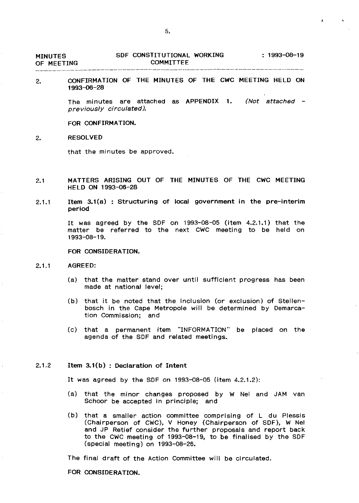| <b>MINUTES</b> | SDF CONSTITUTIONAL WORKING | $: 1993 - 08 - 19$ |
|----------------|----------------------------|--------------------|
| OF MEETING     | <b>COMMITTEE</b>           |                    |

2. CONFIRMATION OF THE MINUTES OF THE CWC MEETING HELD ON 1993-06-28

> The minutes are attached as APPENDIX 1. (Not attached previously circulated).

FOR CONFIRMATION.

#### 2. RESOLVED

that the minutes be approved.

- 2.1 MATTERS ARISING OUT OF THE MINUTES OF THE CWC MEETING HELD ON 1993-06-28
- 2.1.1 Item 3.1(a) : Structuring of local government in the pre-interim period

It was agreed by the SDF on 1993-08--05 (item 4.2.1.1) that the matter be referred to the next CWC meeting to be held on 1993-08-19.

#### FOR CONSIDERATION.

#### 2.1.1 AGREED:

- (a) that the matter stand over until sufficient progress has been made at national level;
- (b) that it be noted that the inclusion (or exclusion) of Stellenbosch in the Cape Metropole will be determined by Demarcation Commission; and
- (c) that a permanent item "INFORMATION" be placed on the agenda of the SDF and related meetings.

### 2.1.2 Item 3.1(b) : Declaration of Intent

It was agreed by the SDF on 1993-08-05 (item 4.2.1.2):

- (a) that the minor changes proposed by W Nel and JAM van Schoor be accepted in principle; and
- (b) that a smaller action committee comprising of L du Plessis (Chairperson of CWC), V Honey (Chairperson of SDF), W Nel and JP Retief consider the further proposals and report back to the CWC meeting of 1993-08-19, to be finalised by the SDF (special meeting) on 1993-08-26.

The final draft of the Action Committee will be circulated.

FOR CONSIDERATION.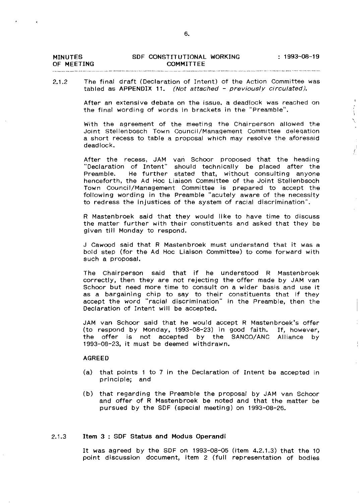| <b>MINUTES</b> | SDF CONSTITUTIONAL WORKING | $: 1993 - 08 - 19$ |
|----------------|----------------------------|--------------------|
| OF MEETING     | COMMITTEE                  |                    |

### 2.1.2 The final draft (Declaration of Intent) of the Action Committee was tabled as APPENDIX 11. (Not attached - previously circulated).

After an extensive debate on the issue. a deadlock was reached on the final wording of words in brackets in the "Preamble".

Í  $\bar{\chi}$ 

With the agreement of the meeting the Chairperson allowed the Joint stellenbosch Town Council/Management Committee delegation a short recess to table a proposal which may resolve the aforesaid deadlock.

After the recess, JAM van Schoor proposed that the heading "Declaration of Intent" should technically be placed after the Preamble. He further stated that, without consulting anyone henceforth, the Ad Hoc Liaison Committee of the Joint Stellenbsoch Town Council/Management Committee is prepared to accept the following wording in the Preamble "acutely aware of the necessity to redress the injustices of the system of racial discrimination".

R Mastenbroek said that they would like to have time to discuss the matter further with their constituents and asked that they be given till Monday to respond.

J Cawood said that R Mastenbroek must understand that it was a bold step (for the Ad Hoc Liaison Committee) to come forward with such a proposal.

The Chairperson said that if he understood R Mastenbroek correctly, then they are not rejecting the offer made by JAM van Schoor but need more time to consult on a wider basis and use it as a bargaining chip to say to their constituents that if they accept the word "racial discrimination" in the Preamble, then the Declaration of Intent will be accepted.

JAM van Schoor said that he would accept R Mastenbroek's offer (to respond by Monday, 1993-08-23) in good faith. If, however, the offer is not accepted by the SANCO/ANC Alliance by 1993-08-23, it must be deemed withdrawn.

### AGREED

- (a) that points 1 to 7 in the Declaration of Intent be accepted in principle; and
- (b) that regarding the Preamble the proposal by JAM van Schoor and offer of R Mastenbroek be noted and that the matter be pursued by the SDF (special meeting) on 1993-08-26.

## 2.1.3 Item 3 : SDF Status and Modus Operandi

It was agreed by the SDF on 1993-08-05 (item 4.2.1.3) that the <sup>10</sup> point discussion document, item 2 (full representation of bodies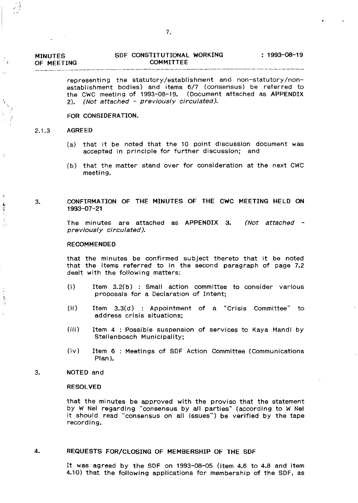| <b>MINUTES</b> | SDF CONSTITUTIONAL WORKING | $1993 - 08 - 19$ |
|----------------|----------------------------|------------------|
| OF MEETING     | COMMITTEE                  |                  |

representing the statutory/establishment and non-statutory/nonestablishment bodies) and items 6/7 (consensus) be referred to the CWC meeting of 1993-08-19. (Document attached as APPENDIX 2). (Not attached - previously circulated).

## FOR CONSIDERATION.

#### 2.1.3 AGREED

9

٦

 $\ddot{\ddot{\theta}}$ 

Ì

- (a) that it be noted that the 10 point discussion document was accepted in principle for further discussion; and
- $(b)$  that the matter stand over for consideration at the next CWC meeting.

## 3. CONFIRMATION OF THE MINUTES OF THE CWC MEETING HELD ON 1993-07-21

The minutes are attached as APPENDIX 3. previously circulated). (Not attached -

#### RECOMMENDED

that the minutes be confirmed subject thereto that it be noted that the items referred to in the second paragraph of page 7.2 dealt with the following matters:

- (i) Item 3.2(b) : Small action committee to consider various proposals for a Declaration of Intent;
- (ii) Item 3.3(d) : Appointment of a "Crisis Committee" to address crisis situations;
- (iii) Item 4 : Possible suspension of services to Kaya Mandi by Stellenbosch Municipality;
- (tv) Item 6 : Meetings of SDF Action Committee (Communications Plan).

### 3. NOTED and

### RESOLVED

that the minutes be approved with the proviso that the statement by W Nel regarding "consensus by all parties" (according to W Nel it should read "consensus on all issues") be verified by the tape recording.

#### 4. REQUESTS FOR/CLOSING OF MEMBERSHIP OF THE SDF

It was agreed by the SDF on 1993-08-05 (item 4.6 to 4.8 and item 4.10) that the following applications for membership of the SDF, as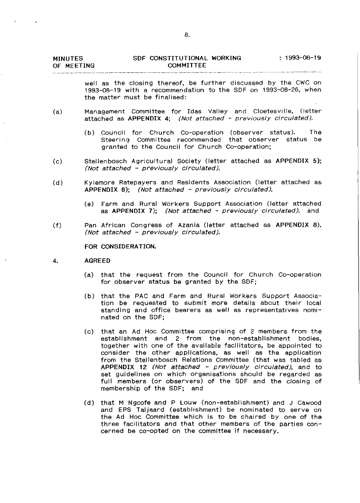| <b>MINUTES</b> | SDF CONSTITUTIONAL WORKING | - 1993-08-19 |
|----------------|----------------------------|--------------|
| OF MEETING     | COMMITTEE                  |              |

well as the closing thereof, be further discussed by the CWC on 1993-08-19 with a recommendation to the SDF on 1993-08-26, when the matter must be finalised:

- (a) Management Committee for Idas Valley and Cloetesville, (letter attached as APPENDIX 4; (Not attached - previously circulated),
	- (b) Council for Church Co-operation (observer status), The Steering Committee recommended that observer status be granted to the Council for Church Co-operation;
- (c) Stellenbosch Agricultural Society (letter attached as APPENDIX 5); (Not attached - previously circulated),
- (d) Kyiemore Ratepayers and Residents Association (letter attached as APPENDIX 6); (Not attached - previously circulated),
	- (e) Farm and Rural Workers Support Association (letter attached as APPENDIX 7); (Not attached - previously circulated), and
- (f) Pan African Congress of Azania (letter attached as APPENDIX 8), (Not attached - previously circulated),

FOR CONSIDERATION.

- 4. AGREED
	- (a) that the request from the Council for Church Co-operation for observer status be granted by the SDF;
	- (b) that the PAC and Farm and Rural Workers Support Association be requested to submit more details about their local standing and office bearers as well as representatives nominated on the SDF;
	- (c) that an Ad Hoc Committee comprising of 2 members from the establishment and 2 from the non-establishment bodies, together with one of the available facilitators, be appointed to consider the other applications, as well as the application from the Stellenbosch Relations Committee (that was tabled as APPENDIX 12 (Not attached - previously circulated), and to set guidelines on which organisations should be regarded as full members (or observers) of the SDF and the ciosing of membership of the SDF; and
	- (d) that M Ngcofe and P Louw (non-establishment) and J Cawood and EPS Taljaard (establishment) be nominated to serve on the Ad Hoc Committee which is to be chaired by one of the three facilitators and that other members of the parties concerned be co-opted on the committee if necessary.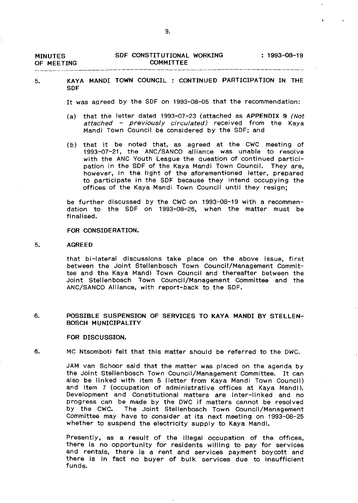| <b>MINUTES</b><br>OF MEETING | SDF CONSTITUTIONAL WORKING<br>COMMITTEE | : 1993-08-19 |
|------------------------------|-----------------------------------------|--------------|
|                              |                                         |              |

## 5. KAYA MANDl TOWN COUNCIL : CONTINUED PARTICIPATION IN THE SDF

It was agreed by the SDF on 1993-08-05 that the recommendation:

- (a) that the letter dated 1993-07-23 (attached as APPENDIX 9 (Not attached - previously circulated) received from the Kaya Mandi Town Council be considered by the SDF; and
- (b) that it be noted that, as agreed at the CWC meeting of 1993-07-21, the ANC/SANCO alliance was unable to resolve with the ANC Youth League the question of continued participation in the SDF of the Kaya Mandi Town Council. They are, however, in the light of the aforementioned letter, prepared to participate in the SDF because they intend occupying the offices of the Kaya Mandi Town Council until they resign;

be further discussed by the CWC on 1993-08-19 with a recommendation to the SDF on 1993-08-26, when the matter must be finalised.

## FOR CONSIDERATION.

#### 5. AGREED

that bi-Iateral discussions take place on the above issue, first between the Joint Stellenbosch Town Council/Management Committee and the Kaya Mandi Town Council and thereafter between the Joint Stellenbosch Town Council/Management Committee and the ANC/SANCO Alliance, with report-back to the SDF.

#### 6. POSSIBLE SUSPENSION OF SERVICES TO KAYA MANDl BY STELLEN-BOSCH MUNICIPALITY

#### FOR DISCUSSION.

## 6. MC Ntsomboti felt that this matter should be referred to the DWC.

JAM van Schoor said that the matter was placed on the agenda by the Joint Stellenbosch Town Council/Management Committee. It can also be linked with item 5 (letter from Kaya Mandi Town Council) and item 7 (occupation of administrative offices at Kaya Mandi). Development and Constitutional matters are inter-linked and no progress can be made by the DWC if matters cannot be resolved by the CWC. The Joint Stellenbosch Town Council/Management Committee may have to consider at its next meeting on 1993-08-25 whether to suspend the electricity supply to Kaya Mandi.

Presently, as a result of the illegal occupation of the offices, there is no opportunity for residents willing to pay for services and rentals, there is a rent and services payment boycott and there is in fact no buyer of bulk services due to insufficient funds.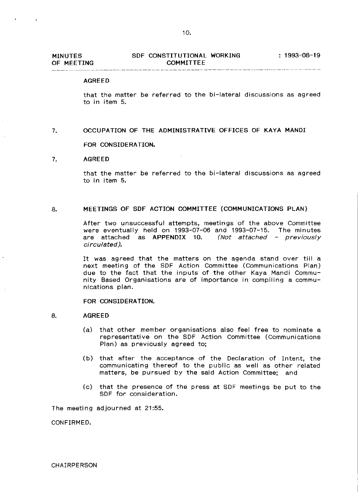#### AGREED

that the matter be referred to the bi-Iateral discussions as agreed to in item 5.

7. OCCUPATION OF THE ADMINISTRATIVE OFFICES OF KAYA MANDl

FOR CONSIDERATION.

## 7. AGREED

the company of the company of

that the matter be referred to the bi-Iateral discussions as agreed to in item 5.

## 8. MEETINGS OF SDF ACTION COMMITTEE (COMMUNICATIONS PLAN)

After two unsuccessful attempts, meetings of the above Committee were eventually held on 1993-07-06 and 1993-07-15. The minutes are attached as APPENDIX 10. (Not attached - previously circulated).

It was agreed that the matters on the agenda stand over tiil <sup>a</sup> next meeting of the SDF Action Committee (Communications Plan) due to the fact that the inputs of the other Kaya Mandi Community Based Organisations are of importance in compiling a communications plan.

FOR CONSIDERATION.

## 8. AGREED

- (a) that other member organisations also feel free to nominate a representative on the SDF Action Committee (Communications Plan) as previously agreed to;
- (b) that after the acceptance of the Declaration of Intent, the communicating thereof to the public as weli as other related matters, be pursued by the said Action Committee; and
- (c) that the presence of the press at SDF meetings be put to the SDF for consideration.

The meeting adjourned at 21:55.

CONFIRMED.

**CHAIRPERSON**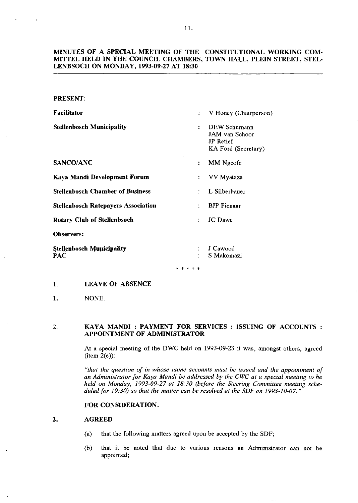## MINUTES OF A SPECIAL MEETING OF THE CONSTITUTIONAL WORKING COM-MITTEE HELD IN THE COUNCIL CHAMBERS, TOWN HALL, PLEIN STREET, STEL-LENBSOCH ON MONDAY, 1993-09-27 AT 18:30

## PRESENT:

| <b>Facilitator</b>                         | ÷                    | V Honey (Chairperson)                                              |
|--------------------------------------------|----------------------|--------------------------------------------------------------------|
| <b>Stellenbosch Municipality</b>           | $\ddot{\phantom{a}}$ | DEW Schumann<br>JAM van Schoor<br>JP Retief<br>KA Ford (Secretary) |
| SANCO/ANC                                  | ፡                    | MM Ngcofe                                                          |
| Kaya Mandi Development Forum               | ÷                    | VV Myataza                                                         |
| <b>Stellenbosch Chamber of Business</b>    |                      | L Silberbauer                                                      |
| <b>Stellenbosch Ratepavers Association</b> |                      | <b>BJP</b> Pienaar                                                 |
| <b>Rotary Club of Stellenbsoch</b>         | ÷                    | <b>JC</b> Dawe                                                     |
| <b>Observers:</b>                          |                      |                                                                    |
| <b>Stellenbosch Municipality</b><br>PAC    | ٠                    | J Cawood<br>S Makomazi                                             |

. . . . .

## 1. LEAVE OF ABSENCE

## I. NONE.

## 2. KAYA MANDl: PAYMENT FOR SERVICES: ISSUING OF ACCOUNTS: APPOINTMENT OF ADMINISTRATOR

At a special meeting of the DWC held on 1993-09-23 it was, amongst others, agreed  $(i$ tem  $2(e)$ :

*"that the question of in whose name accounts must be issued and the appointment of an Administrator for Kaya Mandi be addressed by the CWC at a special meeting tobe held on Monday, 1993-09-27 at 18:30 (before the Steering Committee meeting scheduled for 19:30) so that the matter can be resolved at the SDP on 1993-10-07. "*

## FOR CONSIDERATION.

## 2. AGREED

- (a) that the following matters agreed upon be accepted by the SDF;
- (b) that it be noted that due to various reasons an Administrator can not be appointed;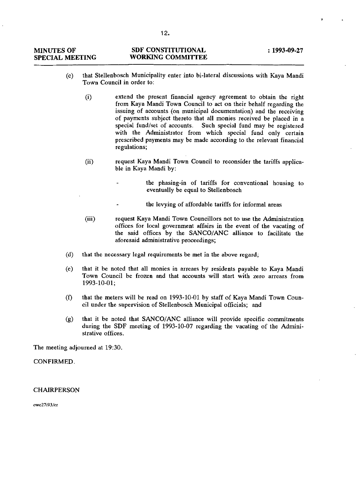| <b>MINUTES OF</b>      | <b>SDF CONSTITUTIONAL</b> | $: 1993 - 09 - 27$ |
|------------------------|---------------------------|--------------------|
| <b>SPECIAL MEETING</b> | <b>WORKING COMMITTEE</b>  |                    |

- (c) that Stellenbosch Municipality enter into bi-lateral discussions with Kaya Mandi Town Council in order to:
	- (i) extend the present financial agency agreement to obtain the right from Kaya Mandi Town Council to act on their behalf regarding the issuing of accounts (on municipal documentation) and the receiving of payments subject thereto that all monies received be placed in a special fund/set of accounts. Such special fund may be registered with the Administrator from which special fund only certain prescribed payments may be made according to the relevant financial **regulations;**
	- (ii) request Kaya Mandi Town Council to reconsider the tariffs applicable in Kaya Mandi by:
		- the phasing-in of tariffs for conventional housing to eventually be equal to Stellenbosch
			- the levying of affordable tariffs for informal areas
	- (iii) request Kaya Mandi Town Councillors not to use the Administration offices for local government affairs in the event of the vacating of the said offices by the SANCO/ANC alliance to facilitate the aforesaid administrative proceedings;
- (d) that the necessary legal requirements be met in the above regard;
- (e) that it be noted that all monies in arrears by residents payable to Kaya Mandi Town Council be frozen and that accounts will start with zero arrears from 1993-10-01;
- (f) that the meters will be read on 1993-10-01 by staff of Kaya Mandi Town Council under the supervision of Stellenbosch Municipal officials; and
- $(e)$  that it be noted that SANCO/ANC alliance will provide specific commitments during the SDF meeting of 1993-10-07 regarding the vacating of the Administrative offices.

The meeting adjourned at 19:30.

**CONFIRMED.** 

## **CHAIRPERSON**

*cwc27i93/cr*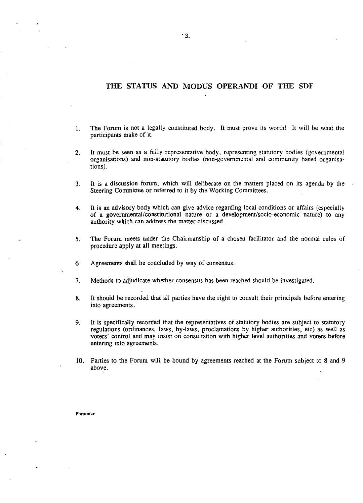## **THE STATUS AND MODUS OPERANDI OF THE SDF**

- 1. The Forum is not a legally constituted body. It must prove its worth! It will be what the participants make of it.
- 2. It must be seen as a fully representative body, representing statutory bodies (governmental organisations) and non-statutory bodies (non-governmental and community based organisations).
- 3. It is a discussion forum, which will deliberate on the matters placed on its agenda by the Steering Committee or referred to it by the Working Committees.
- 4. It is an advisory body which can give advice regarding local conditions or affairs (especially of a governmental/constitutional nature or a development/socio-economic nature) to any authority which can address the matter discussed.
- 5. The Forum meets under the Chairmanship of a chosen facilitator and the normal rules of procedure apply at all meetings.
- 6. Agreements shall be concluded by way of consensus.
- 7. Methods to adjudicate whether consensus has been reached should be investigated.
- 8. It should be recorded that all parties have the right to consult their principals before entering into agreements.
- 9. It is specifically recorded that the representatives of statutory bodies are subject to statutory regulations (ordinances, laws, by-laws, proclamations by higher authorities, etc) as well as voters' control and may insist on consultation with higher level authorities and voters before entering into agreements.
- 10. Parties to the Forum will be bound by agreements reached at the Forum subject to 8 and 9 above.

**Fonamlcr**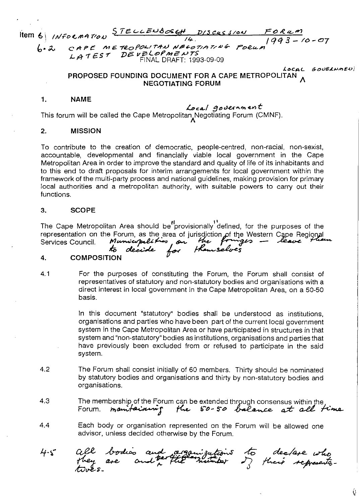Item 6 *INFORMATION* STELLENBERH DISCUSSION  $\frac{F_0 R_{4} m}{1993 - 10 - 07}$ 

CAPE METROPOLITAN NECOTIATING  $4.2$  $Proofs$ CAPE  $M = \frac{1}{2} \times 100$  M2 V  $\frac{1}{2} \times 100$ FINAL DRAFT: 1993-09-09

> LOCAL GOUELNMENI PROPOSED FOUNDING DOCUMENT FOR A CAPE METROPOLITAN NEGOTIATING FORUM

## 1. NAME

## 1.4ca../ :'Jt>cJ~ *...,..e",t*

This forum will be called the Cape Metropolitan Negotiating Forum (CMNF).

## 2. MISSION

To contribute to the creation of democratic, people-centred, non-racial, non-sexist, accountable, developmental and financially viable local government in the Cape Metropolitan Area in order to improve the standard and quality of life of its inhabitants and to this end to draft proposals for interim arrangements for local government within the framework of the multi-party process and national guidelines, making provision for primary local authorities and a metropolitan authority, with suitable powers to carry out their functions.

## 3. SCOPE

The Cape Metropolitan Area should be"provisionally'defined, for the purposes of the representation on the Forum, as the area of jurisdiction of the Western Cape Regional<br>Services Council. Municipalities from the Prayers - leave flows<br>Services Council. **As cleaved for the subject**s

## 4. COMPOSITION

4.1 For the purposes of constituting the Forum, the Forum shall consist of representatives of statutory and non-statutory bodies and organisations with a direct interest in local government in the Cape Metropolitan Area, on a 50-50 basis.

> In this document "statutory" bodies shall be understood as institutions, organisations and parties who have been part of the current local government system in the Cape Metropolitan Area or have participated in structures in that system and "non-statutory" bodies as institutions, organisations and parties that have previously been excluded from or refused to participate in the said system.

- 4.2 The Forum shall consist initially of 60 members. Thirty should be nominated by statutory bodies and organisations and thirty by non-statutory bodies and organisations.
- 4.3 The membership of the Forum can be extended through consensus within the Forum. *manifarming* the 50-50 balance at all time
- 4.4 Each body or organisation represented on the Forum will be allowed one advisor, unless decided otherwise by the Forum.

bodies and<br>are and per acquisations to declase who<br>the minister of their represents-4.5

Ű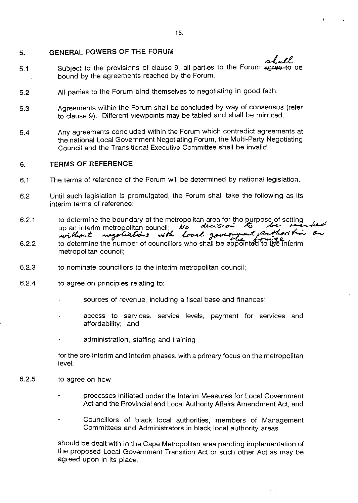## **5. GENERAL POWERS OF THE FORUM**

- 5.1 Subject to the provisions of clause 9, all parties to the Forum agree to be bound by the agreements reached by the Forum.
- 5.2 All parties to the Forum bind themselves to negotiating in good faith.
- 5.3 Agreements within the Forum shall be concluded by way of consensus (refer to clause 9). Different viewpoints may be tabled and shall be minuted.
- 5.4 Any agreements concluded within the Forum which contradict agreements at the national Local Government Negotiating Forum, the Multi-Party Negotiating Council and the Transitional Executive Committee shall be invalid.

#### **6. TERMS OF REFERENCE**

- 6.1 The terms of reference of the Forum will be determined by national legislation.
- 6.2 Until such legislation is promulgated, the Forum shall take the following as its interim terms of reference:
- 6.2.1 6.2.2 to determine the boundary of the metropolitan area for the purpose of setting<br>up an interim metropolitan council; *IVe* **devision to the formation of the formation** up an interim metropolitan council; No decision to the contract of to determine the number of councillors who shall be appointed to the interim
- metropolitan council;
- 6.2.3 to nominate councillors to the interim metropolitan council;
- 6.2.4 to agree on principles relating to:
	- sources of revenue, including a fiscal base and finances;
	- access to services, service levels, payment for services and afford ability; and
	- administration, staffing and training

for the pre-interim and interim phases, with a primary focus on the metropolitan level.

- 6.2.5 to agree on how
	- processes initiated under the Interim Measures for Local Government Act and the Provincial and Local Authority Affairs Amendment Act, and
	- Councillors of black local authorities, members of Management Committees and Administrators in black local authority areas

should be dealt with in the Cape Metropolitan area pending implementation of the proposed Local Government Transition Act or such other Act as may be agreed upon in its place.

 $\sim$ lall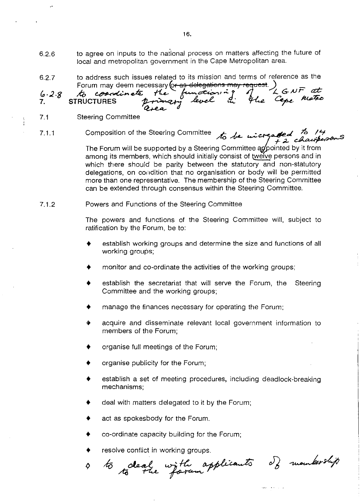- 6.2.6 to agree on inputs to the national process on matters affecting the future of local and metropolitan government in the Cape Metropolitan area.
- 6.2.7 to address such issues related to its mission and terms of reference as the

 $6 - 2.8$ **7.** Forum may deem necessary fo<del>r as delegations may request</del>.)<br>to a conventing to the function of the Cepe Meter

- 7.1 Steering Committee
- 7.1.1 Composition of the Steering Committee to be wicreased to 14<br>for a *chausteroom*

The Forum will be supported by a Steering Committee appointed by it from among its members, which should initially consist of twelve persons and in which there should be parity between the statutory and non-statutory delegations, on condition that no organisation or body will be permitted more than one representative. The membership of the Steering Committee can be extended through consensus within the Steering Committee.

#### 7.1.2 Powers and Functions of the Steering Committee

The powers and functions of the Steering Committee will, subject to ratification by the Forum, be to:

- establish working groups and determine the size and functions of all working groups;
- monitor and co-ordinate the activities of the working groups;
- establish the secretariat that will serve the Forum, the Steering Committee and the working groups;
- manage the finances necessary for operating the Forum;
- acquire and disseminate relevant local government information to members of the Forum;
- organise full meetings of the Forum;
- organise publicity for the Forum;
- establish a set of meeting procedures, including deadlock-breaking mechanisms;
- deal with matters delegated to it by the Forum;
- act as spokesbody for the Forum.
- co-ordinate capacity building for the Forum;
- 

resolve conflict in working groups.<br>45 clear with applicants of mountership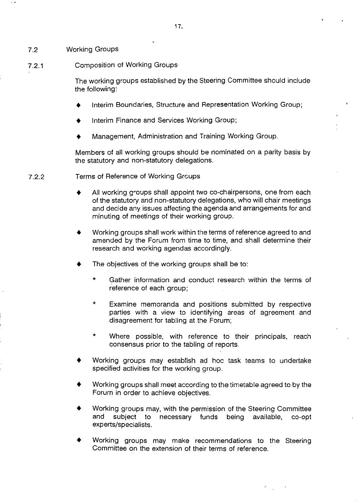7.2 Working Groups

## 7.2.1 Composition of Working Groups

The working groups established by the Steering Committee should include the following:

- Interim Boundaries, Structure and Representation Working Group;
- Interim Finance and Services Working Group;
- Management, Administration and Training Working Group.

Members of all working groups should be nominated on a parity basis by the statutory and non-statutory delegations.

## 7.2.2 Terms of Reference of Working Groups

- All working groups shall appoint two co-chairpersons, one from each of the statutory and non-statutory delegations, who will chair meetings and decide any issues affecting the agenda and arrangements for and minuting of meetings of their working group.
- Working groups shall work within the terms of reference agreed to and amended by the Forum from time to time, and shall determine their research and working agendas accordingly.
- The objectives of the working groups shall be to:
	- Gather information and conduct research within the terms of reference of each group;
	- $\ddot{\phantom{0}}$ Examine memoranda and positions submitted by respective parties with a view to identifying areas of agreement and disagreement for tabling at the Forum;
	- Where possible, with reference to their principals, reach consensus prior to the tabling of reports.
- Working groups may establish ad hoc task teams to undertake specified activities for the working group.
- Working groups shall meet according to the timetable agreed to by the Forum in order to achieve objectives.
- Working groups may, with the permission of the Steering Committee and subject to necessary funds being available, co-opt experts/specialists.
- Working groups may make recommendations to the Steering Committee on the extension of their terms of reference.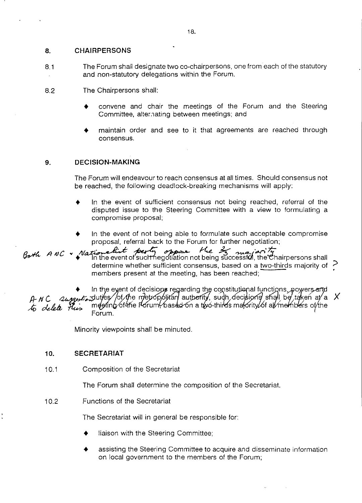## **8. CHAIRPERSONS**

8.1 The Forum shall designate two co-chairpersons, one from each of the statutory and non-statutory delegations within the Forum.

8.2 The Chairpersons shall:

- convene and chair the meetings of the Forum and the Steering Committee, alter.nating between meetings; and
- maintain order and see to it that agreements are reached through consensus.

## **9. DECISION-MAKING**

The Forum will endeavour to reach consensus at all times. Should consensus not be reached, the following deadlock-breaking mechanisms will apply:

- In the event of sufficient consensus not being reached, referral of the disputed issue to the Steering Committee with a view to formulating a compromise proposal;
- In the event of not being able to formulate such acceptable compromise proposal, referral back to the Forum for further negotiation;

 $B_{\sigma}$ th ANC , Nationalist perty opper the 2 major  $H$ determine whether sufficient consensus, based on a two-thirds majority of  $\geq$ members present at the meeting, has been reached;

In the eyent of decisions regarding the constitutional functions, powers and<br>A- N C--Sung to the oriental of the oriental information of stall be taken at a- X *to delete Plus* meding of the Forum based on a two-thirds malority of all members of the<br>Forum

Minority viewpoints shall be minuted.

## **10. SECRETARIAT**

10.1 Composition of the Secretariat

The Forum shall determine the composition of the Secretariat.

10.2 Functions of the Secretariat

The Secretariat will in general be responsible for:

- liaison with the Steering Committee;
- assisting the Steering Committee to acquire and disseminate information on local government to the members of the Forum;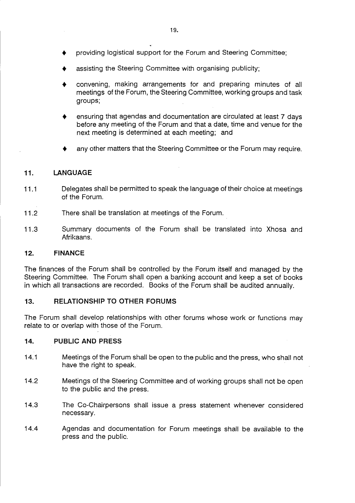- assisting the Steering Committee with organising publicity;
- convening, making arrangements for and preparing minutes of all meetings of the Forum, the Steering Committee, working groups and task groups;
- ensuring that agendas and documentation are circulated at least 7 days before any meeting of the Forum and that a date, time and venue for the next meeting is determined at each meeting; and
- any other matters that the Steering Committee or the Forum may require.

# **11. LANGUAGE**

- 11.1 Delegates shall be permitted to speak the language of their choice at meetings of the Forum.
- 11.2 There shall be translation at meetings of the Forum.
- 11.3 Summary documents of the Forum shall be translated into Xhosa and Afrikaans.

## **12. FINANCE**

The finances of the Forum shall be controlled by the Forum itself and managed by the Steering Committee. The Forum shall open a banking account and keep a set of books in which all transactions are recorded. Books of the Forum shall be audited annually.

## **13. RELATIONSHIP TO OTHER FORUMS**

The Forum shall develop relationships with other forums whose work or functions may relate to or overlap with those of the Forum.

## **14. PUBLIC AND PRESS**

- 14.1 Meetings of the Forum shall be open to the public and the press, who shall not have the right to speak.
- 14.2 Meetings of the Steering Committee and of working groups shall not be open to the public and the press.
- 14.3 The Co-Chairpersons shall issue a press statement whenever considered necessary.
- 14.4 Agendas and documentation for Forum meetings shall be available to the press and the public.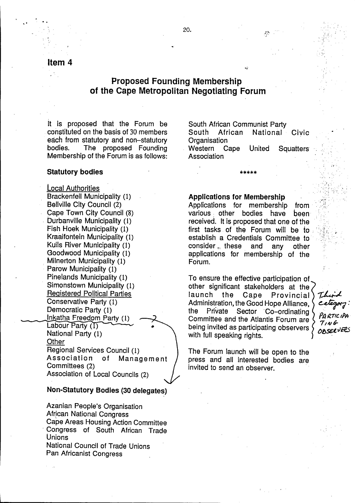item 4 , and the set of  $\mathcal{L}$  , and the set of  $\mathcal{L}$ 

,. ..

# Proposed Founding Membership of the Cape Metropolitan Negotiating Forum

it is proposed that the Forum be constituted on the basis of 30 members each from statutory and non-statutory bodies. The proposed Founding Membership of the Forum is as follows:

## Statutory bodies

Local Authorities Brackenfell Municipality (1) Bellville City Council (2) Cape Town City Council (8) , burbanville Municipality (1) Fish Hoek Municipality (1) Kraaifohtein Municipality (1) Kuils River Municipality (1) Goodwood Municipality (1) , Milnerton Municipality (1) Parow Municipality (1) Pine lands Municipality (1) Simonstown Municipality (1) Registered Political Parties Conservative Party (1) Democratic Party (1) Inkatha Freedom Party (1) Labour Party  $(1)$ National Party (1) **Other** Regional Services Council (1) Association of Management Committees (2) Association of Local Councils (2)

## Non-Statutory Bodies (30 delegates)

Azanian People's Organisation African National Congress Cape Areas Housing Action Committee . Congress of South African Trade Unions National Council of Trade Unions Pan Africanist Congress

South African Communist Party South African National Civic **Organisation** 

аð,

Western Cape United Squatters Association

\*\*\*\*\*<br>.

## Applications for Membership

Applications for membership from various, other bodies have been received. It is proposed that one of the first tasks of the Forum will be to establish a Credentials Committee to consider ..., these and any other applications for membership of the Forum.

To ensure the effective participation of other significant stakeholders at the launch the Cape Provincial Administration, the Good Hope Alliance, the Private Sector 'Co-ordinating Committee and the Atlantis Forum are being invited as participating observers with full speaking rights.

There category. *PflI<.7(C IP~' 7,.v? O!J~vtes*

The Forum launch will be open to the press and all interested bodies are invited to send an observer.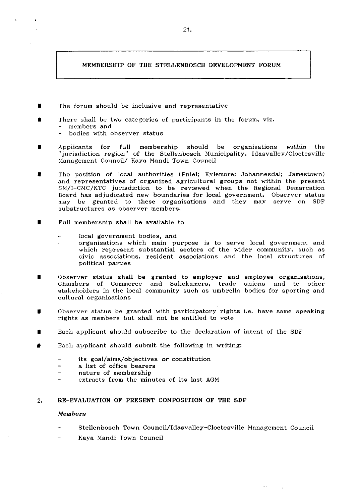## MEMBERSHIP OF THE STELLENBOSCH DEVELOPMENT FORUM

- The forum should be inclusive and representative
- There shall be two categories cf participants in the forum, viz.
	- **- members and**
	- bodies with observer status
- $\blacksquare$ Applicants for full membership should be organisations *within* the "jurisdiction region" of the Stellenbosch Municipality, Idasvalley/Cloetesville Management Council/ Kaya Mandi Town Council
- The position of local authorities (Pniel; Kylemore; Johannesdal; Jamestown) and representatives of organized agricultural groups not within the present SM/I-CMC/KTC jurisdiction to be reviewed when the Regional Demarcation Board has adjudicated new boundaries for local government. Observer status may be granted to these organisations and they may serve on SDF **substructures as observer members.**
- ٠. Full membership shall be available to
	- local government bodies, and
	- **organisations which main purpose is to serve local government and** which represent substantial sectors of the wider community, such as **civic associations, resident associations and the local structures of** political parties
- Observer status shall be granted to employer and employee organisations, Chambers of Commerce and Sakekamers, trade unions and to other stakeholders in the local community such as umbrella bodies for sporting and cultural organisations
- Observer status be granted with participatory rights i.e, have same speaking ٠ rights as members but shall not be entitled to vote
- Each applicant should subscribe to the declaration of intent of the SDF ٠
- ×. Each applicant should submit the following in writing:
	- its goal/aims/objectives or constitution
	- a list of office bearers
	- nature of membership
	- extracts from the minutes of its last AGM

#### 2. RE-EVALUATION OF PRESENT COMPOSITION OF THE SDF

#### Members

- Stellenbosch Town Council/Idasvalley-Cloetesville Management Council
- Kaya Mandi Town Council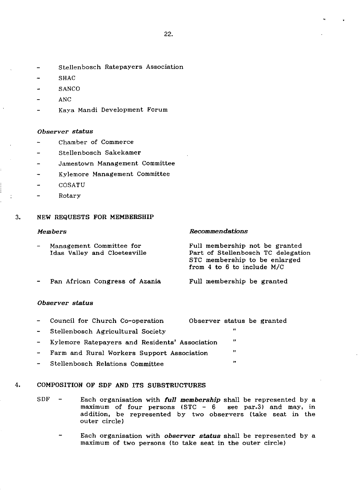- Stellenbosch Ratepayers Association ÷.
- ÷ SHAC
- **SANCO**  $\overline{a}$
- ANC ÷
- Kava Mandi Development Forum

## *Observer status*

- Chamber of Commerce  $\overline{a}$
- $\overline{a}$ Stellenbosch Sakekamer
- $\mathbf{r}$ Jamestown Management Committee
- Kylemore Management Committee  $\overline{a}$
- COSATU  $\overline{a}$
- Rotary  $\sim$

÷

## 3. NEW REQUESTS FOR MEMBERSHIP

### *Members*

## *Recommendations*

| $\overline{\phantom{0}}$ | Management Committee for<br>Idas Valley and Cloetesville | Full membership not be granted<br>Part of Stellenbosch TC delegation<br>STC membership to be enlarged<br>from 4 to 6 to include M/C |
|--------------------------|----------------------------------------------------------|-------------------------------------------------------------------------------------------------------------------------------------|
|                          | - Pan African Congress of Azania                         | Full membership be granted                                                                                                          |

Pan African Congress of Azania

## *Observer status*

| $\sim$ | Council for Church Co-operation                  | Observer status be granted |  |
|--------|--------------------------------------------------|----------------------------|--|
| $\sim$ | Stellenbosch Agricultural Society                | $\mathbf{H}$               |  |
|        | - Kylemore Ratepayers and Residents' Association | -11                        |  |
| $\sim$ | Farm and Rural Workers Support Association       | $\mathbf{H}$               |  |
| $\sim$ | Stellenbosch Relations Committee                 | $\mathbf{r}$               |  |

## 4. COMPOSITION OF SDF AND ITS SUBSTRUCTURES

- SDF Each organisation with *full membership* shall be represented by a maximum of four persons  $(STC - 6$  see par.3) and may, in addition, be represented by two observers (take seat in the outer circle)
	- $\overline{\phantom{0}}$ Each organisation with *observer status* shall be represented by a maximum of two persons (to take seat in the outer circle)